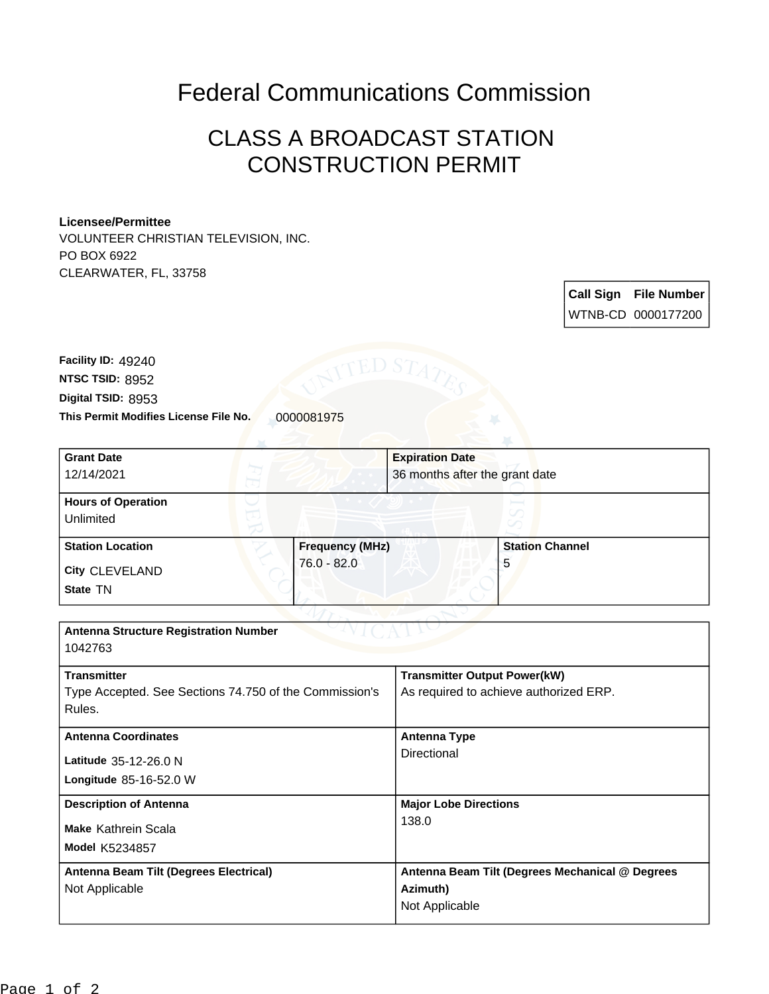## Federal Communications Commission

## CLASS A BROADCAST STATION CONSTRUCTION PERMIT

## **Licensee/Permittee**

VOLUNTEER CHRISTIAN TELEVISION, INC. PO BOX 6922 CLEARWATER, FL, 33758

> **Call Sign File Number** WTNB-CD 0000177200

**This Permit Modifies License File No.** 0000081975 **Digital TSID:** 8953 **NTSC TSID:** 8952 **Facility ID:** 49240

| <b>Grant Date</b>                                      |                        |                                                 |                        |  |
|--------------------------------------------------------|------------------------|-------------------------------------------------|------------------------|--|
|                                                        |                        | <b>Expiration Date</b>                          |                        |  |
| 12/14/2021                                             |                        | 36 months after the grant date                  |                        |  |
| <b>Hours of Operation</b>                              |                        |                                                 |                        |  |
| Unlimited                                              |                        |                                                 |                        |  |
| <b>Station Location</b>                                | <b>Frequency (MHz)</b> |                                                 | <b>Station Channel</b> |  |
| <b>City CLEVELAND</b>                                  | $76.0 - 82.0$          |                                                 | 5                      |  |
| State TN                                               |                        |                                                 |                        |  |
|                                                        |                        |                                                 |                        |  |
| <b>Antenna Structure Registration Number</b>           |                        |                                                 |                        |  |
| 1042763                                                |                        |                                                 |                        |  |
| <b>Transmitter</b>                                     |                        | <b>Transmitter Output Power(kW)</b>             |                        |  |
| Type Accepted. See Sections 74.750 of the Commission's |                        | As required to achieve authorized ERP.          |                        |  |
| Rules.                                                 |                        |                                                 |                        |  |
| <b>Antenna Coordinates</b>                             |                        | <b>Antenna Type</b>                             |                        |  |
| Latitude 35-12-26.0 N                                  |                        | Directional                                     |                        |  |
| Longitude 85-16-52.0 W                                 |                        |                                                 |                        |  |
| <b>Description of Antenna</b>                          |                        | <b>Major Lobe Directions</b>                    |                        |  |
| Make Kathrein Scala                                    |                        | 138.0                                           |                        |  |
| <b>Model K5234857</b>                                  |                        |                                                 |                        |  |
| Antenna Beam Tilt (Degrees Electrical)                 |                        | Antenna Beam Tilt (Degrees Mechanical @ Degrees |                        |  |
| Not Applicable                                         |                        | Azimuth)                                        |                        |  |
|                                                        |                        | Not Applicable                                  |                        |  |